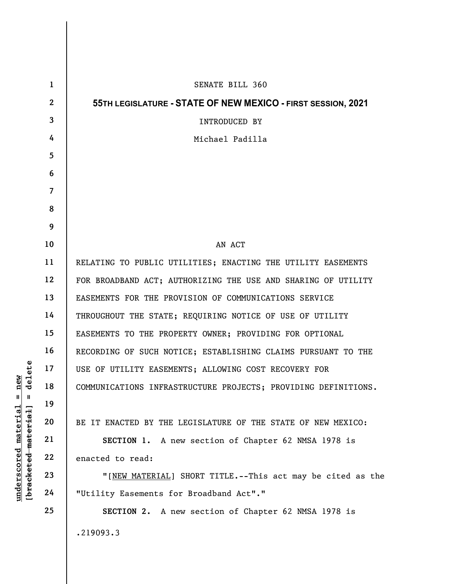|                                                                                                                    | $\mathbf{1}$            | SENATE BILL 360                                                |
|--------------------------------------------------------------------------------------------------------------------|-------------------------|----------------------------------------------------------------|
| delete<br>new<br>$^{\mathsf{II}}$<br>$\mathbf{I}$<br>[bracketed-material]<br><u>material</u><br><u>underscored</u> | $\mathbf{2}$            | 55TH LEGISLATURE - STATE OF NEW MEXICO - FIRST SESSION, 2021   |
|                                                                                                                    | $\mathbf{3}$            | INTRODUCED BY                                                  |
|                                                                                                                    | 4                       | Michael Padilla                                                |
|                                                                                                                    | 5                       |                                                                |
|                                                                                                                    | 6                       |                                                                |
|                                                                                                                    | $\overline{\mathbf{7}}$ |                                                                |
|                                                                                                                    | 8                       |                                                                |
|                                                                                                                    | 9                       |                                                                |
|                                                                                                                    | 10                      | AN ACT                                                         |
|                                                                                                                    | 11                      | RELATING TO PUBLIC UTILITIES; ENACTING THE UTILITY EASEMENTS   |
|                                                                                                                    | 12                      | FOR BROADBAND ACT; AUTHORIZING THE USE AND SHARING OF UTILITY  |
|                                                                                                                    | 13                      | EASEMENTS FOR THE PROVISION OF COMMUNICATIONS SERVICE          |
|                                                                                                                    | 14                      | THROUGHOUT THE STATE; REQUIRING NOTICE OF USE OF UTILITY       |
|                                                                                                                    | 15                      | EASEMENTS TO THE PROPERTY OWNER; PROVIDING FOR OPTIONAL        |
|                                                                                                                    | 16                      | RECORDING OF SUCH NOTICE; ESTABLISHING CLAIMS PURSUANT TO THE  |
|                                                                                                                    | 17                      | USE OF UTILITY EASEMENTS; ALLOWING COST RECOVERY FOR           |
|                                                                                                                    | 18                      | COMMUNICATIONS INFRASTRUCTURE PROJECTS; PROVIDING DEFINITIONS. |
|                                                                                                                    | 19                      |                                                                |
|                                                                                                                    | 20                      | BE IT ENACTED BY THE LEGISLATURE OF THE STATE OF NEW MEXICO:   |
|                                                                                                                    | 21                      | A new section of Chapter 62 NMSA 1978 is<br>SECTION 1.         |
|                                                                                                                    | 22                      | enacted to read:                                               |
|                                                                                                                    | 23                      | "[NEW MATERIAL] SHORT TITLE.--This act may be cited as the     |
|                                                                                                                    | 24                      | "Utility Easements for Broadband Act"."                        |
|                                                                                                                    | 25                      | SECTION 2. A new section of Chapter 62 NMSA 1978 is            |
|                                                                                                                    |                         | .219093.3                                                      |
|                                                                                                                    |                         |                                                                |

 $\mathbf{I}$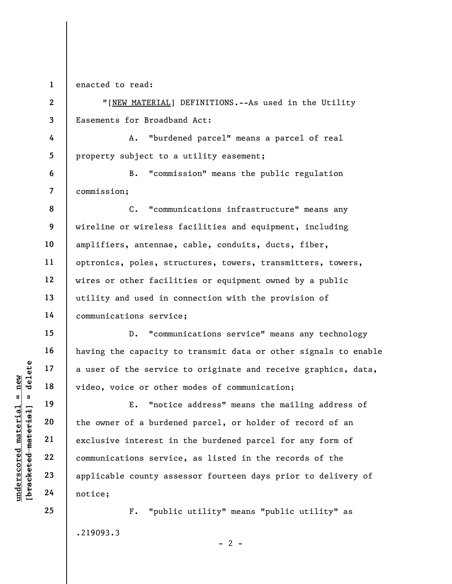1 enacted to read:

6

7

15

16

17

18

19

20

21

22

23

24

25

2 3 "[NEW MATERIAL] DEFINITIONS.--As used in the Utility Easements for Broadband Act:

4 5 A. "burdened parcel" means a parcel of real property subject to a utility easement;

B. "commission" means the public regulation commission;

8 9 10 11 12 13 14 C. "communications infrastructure" means any wireline or wireless facilities and equipment, including amplifiers, antennae, cable, conduits, ducts, fiber, optronics, poles, structures, towers, transmitters, towers, wires or other facilities or equipment owned by a public utility and used in connection with the provision of communications service;

D. "communications service" means any technology having the capacity to transmit data or other signals to enable a user of the service to originate and receive graphics, data, video, voice or other modes of communication;

understand material and the service<br>
wideo, voice or other<br>
wideo, voice or other<br>
E. "notic<br>
munications service<br>
22<br>
23<br>
24<br>
24<br>
24<br>
20<br>
24<br>
24<br>
20<br>
24<br>
20<br>
24<br>
20<br>
24<br>
20<br>
24<br>
20<br>
24<br>
20<br>
24<br>
20<br>
20<br>
20<br>
20<br>
20<br>
20<br>
20<br> E. "notice address" means the mailing address of the owner of a burdened parcel, or holder of record of an exclusive interest in the burdened parcel for any form of communications service, as listed in the records of the applicable county assessor fourteen days prior to delivery of notice;

> F. "public utility" means "public utility" as .219093.3

> > $- 2 -$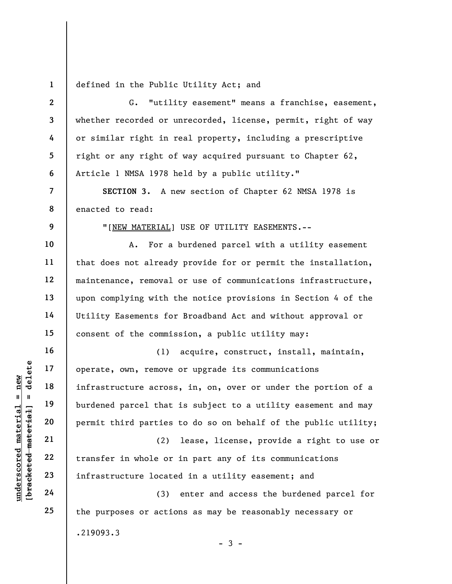1 defined in the Public Utility Act; and

understand material end of the same of the time and the same of the same of the same of the same of the same of the same of the same of the same of the same of the same of the same of the same of the same of the same of th 2 3 4 5 6 7 8 9 10 11 12 13 14 15 16 17 18 19 20 21 22 23 24 25 G. "utility easement" means a franchise, easement, whether recorded or unrecorded, license, permit, right of way or similar right in real property, including a prescriptive right or any right of way acquired pursuant to Chapter 62, Article 1 NMSA 1978 held by a public utility." SECTION 3. A new section of Chapter 62 NMSA 1978 is enacted to read: "[NEW MATERIAL] USE OF UTILITY EASEMENTS.-- A. For a burdened parcel with a utility easement that does not already provide for or permit the installation, maintenance, removal or use of communications infrastructure, upon complying with the notice provisions in Section 4 of the Utility Easements for Broadband Act and without approval or consent of the commission, a public utility may: (1) acquire, construct, install, maintain, operate, own, remove or upgrade its communications infrastructure across, in, on, over or under the portion of a burdened parcel that is subject to a utility easement and may permit third parties to do so on behalf of the public utility; (2) lease, license, provide a right to use or transfer in whole or in part any of its communications infrastructure located in a utility easement; and (3) enter and access the burdened parcel for the purposes or actions as may be reasonably necessary or

.219093.3

 $-3 -$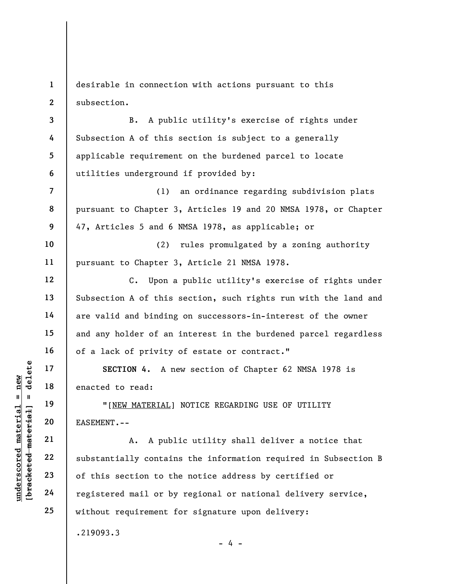1 2 desirable in connection with actions pursuant to this subsection.

3 4 5 6 B. A public utility's exercise of rights under Subsection A of this section is subject to a generally applicable requirement on the burdened parcel to locate utilities underground if provided by:

(1) an ordinance regarding subdivision plats pursuant to Chapter 3, Articles 19 and 20 NMSA 1978, or Chapter 47, Articles 5 and 6 NMSA 1978, as applicable; or

10 11 (2) rules promulgated by a zoning authority pursuant to Chapter 3, Article 21 NMSA 1978.

C. Upon a public utility's exercise of rights under Subsection A of this section, such rights run with the land and are valid and binding on successors-in-interest of the owner and any holder of an interest in the burdened parcel regardless of a lack of privity of estate or contract."

SECTION 4. A new section of Chapter 62 NMSA 1978 is enacted to read:

"[NEW MATERIAL] NOTICE REGARDING USE OF UTILITY EASEMENT.--

underscored material = new [bracketed material] = delete A. A public utility shall deliver a notice that substantially contains the information required in Subsection B of this section to the notice address by certified or registered mail or by regional or national delivery service, without requirement for signature upon delivery:

 $- 4 -$ 

.219093.3

7

8

9

12

13

14

15

16

17

18

19

20

21

22

23

24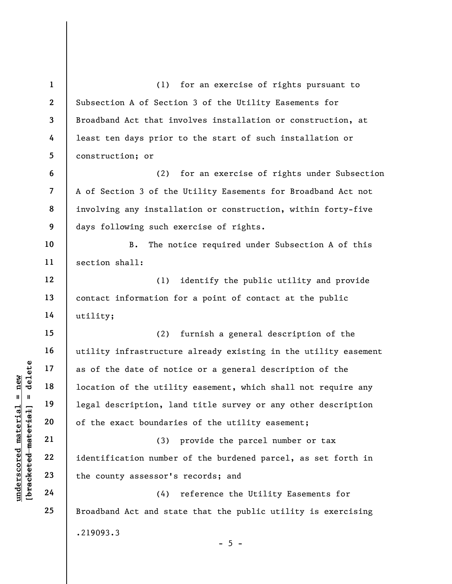understand material and the date of not<br>  $\begin{bmatrix}\n\text{u} & \text{u} & \text{u} \\
\text{u} & \text{u} & \text{u} & \text{u} \\
\text{u} & \text{u} & \text{u} & \text{u} \\
\text{u} & \text{u} & \text{u} & \text{u} \\
\text{u} & \text{u} & \text{u} & \text{u} \\
\text{u} & \text{u} & \text{u} & \text{u} \\
\text{u} & \text{u} & \text{u} & \text{u} \\
\text{u} & \text{u}$ 1 2 3 4 5 6 7 8 9 10 11 12 13 14 15 16 17 18 19 20 21 22 23 24 25 (1) for an exercise of rights pursuant to Subsection A of Section 3 of the Utility Easements for Broadband Act that involves installation or construction, at least ten days prior to the start of such installation or construction; or (2) for an exercise of rights under Subsection A of Section 3 of the Utility Easements for Broadband Act not involving any installation or construction, within forty-five days following such exercise of rights. B. The notice required under Subsection A of this section shall: (1) identify the public utility and provide contact information for a point of contact at the public utility; (2) furnish a general description of the utility infrastructure already existing in the utility easement as of the date of notice or a general description of the location of the utility easement, which shall not require any legal description, land title survey or any other description of the exact boundaries of the utility easement; (3) provide the parcel number or tax identification number of the burdened parcel, as set forth in the county assessor's records; and (4) reference the Utility Easements for Broadband Act and state that the public utility is exercising .219093.3  $- 5 -$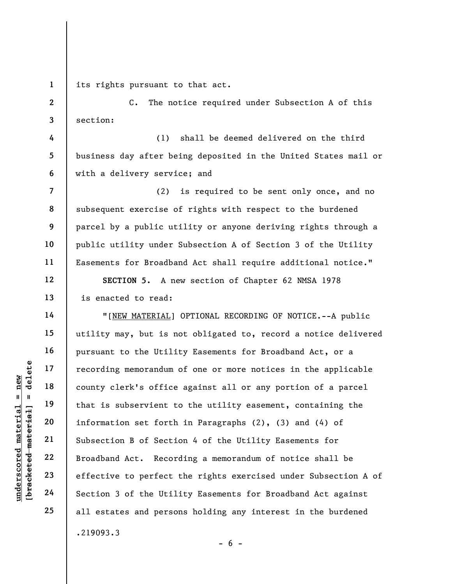1 its rights pursuant to that act.

C. The notice required under Subsection A of this section:

(1) shall be deemed delivered on the third business day after being deposited in the United States mail or with a delivery service; and

(2) is required to be sent only once, and no subsequent exercise of rights with respect to the burdened parcel by a public utility or anyone deriving rights through a public utility under Subsection A of Section 3 of the Utility Easements for Broadband Act shall require additional notice." SECTION 5. A new section of Chapter 62 NMSA 1978

is enacted to read:

understand material material subservient to that is subservient to that is subservient to that is subservient to the defender of the Util subsettion 3 of the Util subsettion 3 of the Util "[NEW MATERIAL] OPTIONAL RECORDING OF NOTICE.--A public utility may, but is not obligated to, record a notice delivered pursuant to the Utility Easements for Broadband Act, or a recording memorandum of one or more notices in the applicable county clerk's office against all or any portion of a parcel that is subservient to the utility easement, containing the information set forth in Paragraphs (2), (3) and (4) of Subsection B of Section 4 of the Utility Easements for Broadband Act. Recording a memorandum of notice shall be effective to perfect the rights exercised under Subsection A of Section 3 of the Utility Easements for Broadband Act against all estates and persons holding any interest in the burdened .219093.3

2

3

4

5

6

7

8

9

10

11

12

13

14

15

16

17

18

19

20

21

22

23

24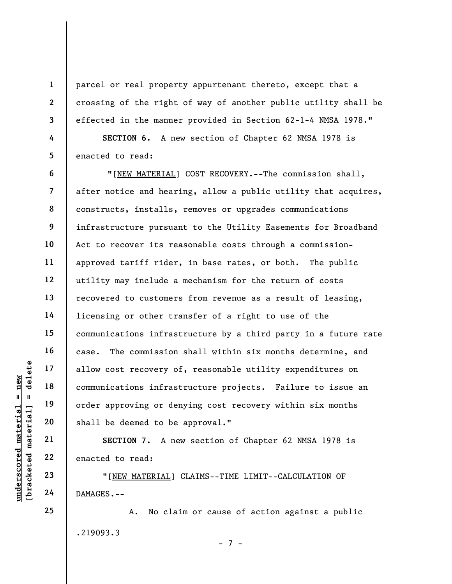parcel or real property appurtenant thereto, except that a crossing of the right of way of another public utility shall be effected in the manner provided in Section 62-1-4 NMSA 1978."

SECTION 6. A new section of Chapter 62 NMSA 1978 is enacted to read:

UNDERTENTED 18<br>
UNDERTRESS TO SAMAGES.--<br>
UNDERTRESS OF A PROVIDE OF A PROVIDE OF A PROVIDE OF A PROVIDE OF A PROVIDE OF A PROVIDENCE OF A PROVIDED AND PARTER PROVIDED AND CAN ACCESS .--<br>
UNDERTRIAL DAMAGES.--6 7 8 9 10 11 12 13 14 15 16 17 18 19 20 "[NEW MATERIAL] COST RECOVERY.--The commission shall, after notice and hearing, allow a public utility that acquires, constructs, installs, removes or upgrades communications infrastructure pursuant to the Utility Easements for Broadband Act to recover its reasonable costs through a commissionapproved tariff rider, in base rates, or both. The public utility may include a mechanism for the return of costs recovered to customers from revenue as a result of leasing, licensing or other transfer of a right to use of the communications infrastructure by a third party in a future rate case. The commission shall within six months determine, and allow cost recovery of, reasonable utility expenditures on communications infrastructure projects. Failure to issue an order approving or denying cost recovery within six months shall be deemed to be approval."

SECTION 7. A new section of Chapter 62 NMSA 1978 is enacted to read:

"[NEW MATERIAL] CLAIMS--TIME LIMIT--CALCULATION OF DAMAGES.--

A. No claim or cause of action against a public .219093.3 - 7 -

24 25

21

22

23

1

2

3

4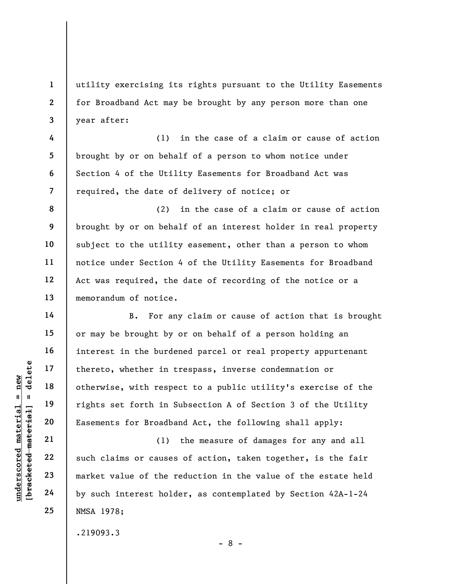utility exercising its rights pursuant to the Utility Easements for Broadband Act may be brought by any person more than one year after:

(1) in the case of a claim or cause of action brought by or on behalf of a person to whom notice under Section 4 of the Utility Easements for Broadband Act was required, the date of delivery of notice; or

8 9 10 11 12 13 (2) in the case of a claim or cause of action brought by or on behalf of an interest holder in real property subject to the utility easement, other than a person to whom notice under Section 4 of the Utility Easements for Broadband Act was required, the date of recording of the notice or a memorandum of notice.

underscored material = new [bracketed material] = delete B. For any claim or cause of action that is brought or may be brought by or on behalf of a person holding an interest in the burdened parcel or real property appurtenant thereto, whether in trespass, inverse condemnation or otherwise, with respect to a public utility's exercise of the rights set forth in Subsection A of Section 3 of the Utility Easements for Broadband Act, the following shall apply:

(1) the measure of damages for any and all such claims or causes of action, taken together, is the fair market value of the reduction in the value of the estate held by such interest holder, as contemplated by Section 42A-1-24 NMSA 1978;

- 8 -

.219093.3

1

2

3

4

5

6

7

14

15

16

17

18

19

20

21

22

23

24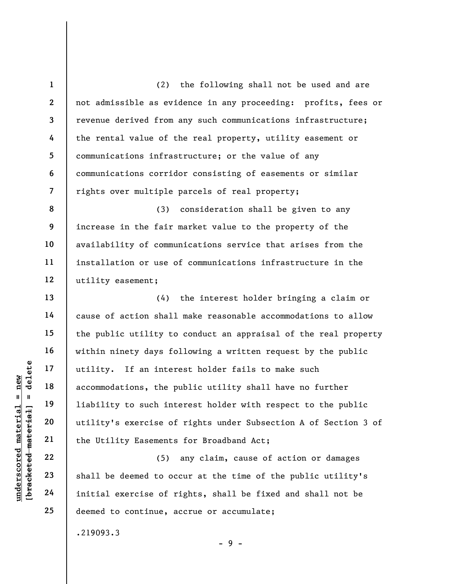(2) the following shall not be used and are not admissible as evidence in any proceeding: profits, fees or revenue derived from any such communications infrastructure; the rental value of the real property, utility easement or communications infrastructure; or the value of any communications corridor consisting of easements or similar rights over multiple parcels of real property;

8 9 10 11 12 (3) consideration shall be given to any increase in the fair market value to the property of the availability of communications service that arises from the installation or use of communications infrastructure in the utility easement;

under 17<br>
and 18<br>
19<br>
19<br>
19<br>
19<br>
19<br>
19<br>
11 inter accommodations, the p<br>
11 inter accommodations, the p<br>
11 inter to such interest<br>
21<br>
22<br>
23<br>
24<br>
11 initial exercise of the Utility Easements<br>
24<br>
11 initial exercise of (4) the interest holder bringing a claim or cause of action shall make reasonable accommodations to allow the public utility to conduct an appraisal of the real property within ninety days following a written request by the public utility. If an interest holder fails to make such accommodations, the public utility shall have no further liability to such interest holder with respect to the public utility's exercise of rights under Subsection A of Section 3 of the Utility Easements for Broadband Act;

(5) any claim, cause of action or damages shall be deemed to occur at the time of the public utility's initial exercise of rights, shall be fixed and shall not be deemed to continue, accrue or accumulate;

- 9 -

.219093.3

1

2

3

4

5

6

7

13

14

15

16

17

18

19

20

21

22

23

24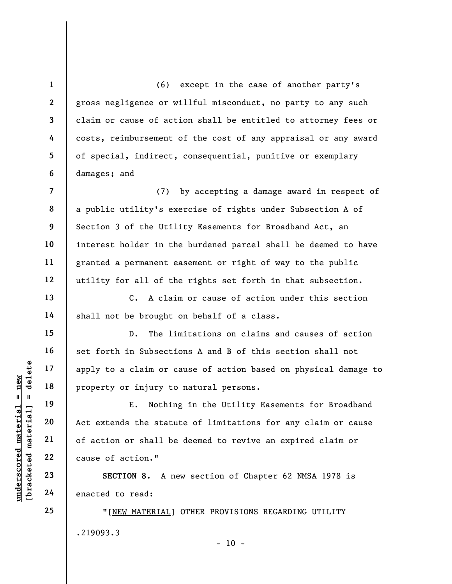(6) except in the case of another party's gross negligence or willful misconduct, no party to any such claim or cause of action shall be entitled to attorney fees or costs, reimbursement of the cost of any appraisal or any award of special, indirect, consequential, punitive or exemplary damages; and

(7) by accepting a damage award in respect of a public utility's exercise of rights under Subsection A of Section 3 of the Utility Easements for Broadband Act, an interest holder in the burdened parcel shall be deemed to have granted a permanent easement or right of way to the public utility for all of the rights set forth in that subsection.

C. A claim or cause of action under this section shall not be brought on behalf of a class.

D. The limitations on claims and causes of action set forth in Subsections A and B of this section shall not apply to a claim or cause of action based on physical damage to property or injury to natural persons.

understand material material and the state of action or shall be<br>defined as a second material of action or shall be<br>defined as a second material of action or shall be<br>defined as a second material of action."<br>Example 22 cau E. Nothing in the Utility Easements for Broadband Act extends the statute of limitations for any claim or cause of action or shall be deemed to revive an expired claim or cause of action."

SECTION 8. A new section of Chapter 62 NMSA 1978 is enacted to read:

"[NEW MATERIAL] OTHER PROVISIONS REGARDING UTILITY .219093.3

1

2

3

4

5

6

7

8

9

10

11

12

13

14

15

16

17

18

19

20

21

22

23

24

25

 $- 10 -$